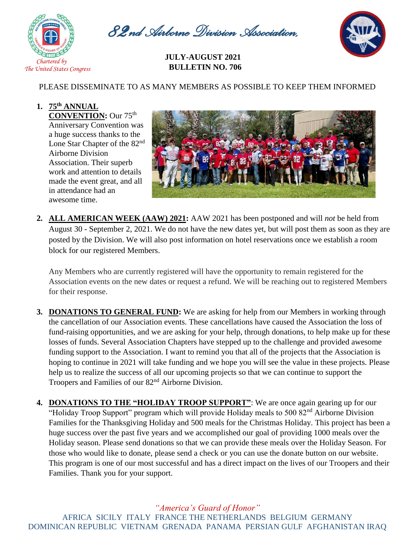

*82nd Airborne Division Association,* 



*Inc* **JULY-AUGUST <sup>2021</sup> BULLETIN NO. 706**

## PLEASE DISSEMINATE TO AS MANY MEMBERS AS POSSIBLE TO KEEP THEM INFORMED

## **1. 75th ANNUAL CONVENTION:** Our 75th

Anniversary Convention was a huge success thanks to the Lone Star Chapter of the 82nd Airborne Division Association. Their superb work and attention to details made the event great, and all in attendance had an awesome time.



**2. ALL AMERICAN WEEK (AAW) 2021:** AAW 2021 has been postponed and will *not* be held from August 30 - September 2, 2021. We do not have the new dates yet, but will post them as soon as they are posted by the Division. We will also post information on hotel reservations once we establish a room block for our registered Members.

Any Members who are currently registered will have the opportunity to remain registered for the Association events on the new dates or request a refund. We will be reaching out to registered Members for their response.

- **3. DONATIONS TO GENERAL FUND:** We are asking for help from our Members in working through the cancellation of our Association events. These cancellations have caused the Association the loss of fund-raising opportunities, and we are asking for your help, through donations, to help make up for these losses of funds. Several Association Chapters have stepped up to the challenge and provided awesome funding support to the Association. I want to remind you that all of the projects that the Association is hoping to continue in 2021 will take funding and we hope you will see the value in these projects. Please help us to realize the success of all our upcoming projects so that we can continue to support the Troopers and Families of our 82nd Airborne Division.
- **4. DONATIONS TO THE "HOLIDAY TROOP SUPPORT"**: We are once again gearing up for our "Holiday Troop Support" program which will provide Holiday meals to 500 82<sup>nd</sup> Airborne Division Families for the Thanksgiving Holiday and 500 meals for the Christmas Holiday. This project has been a huge success over the past five years and we accomplished our goal of providing 1000 meals over the Holiday season. Please send donations so that we can provide these meals over the Holiday Season. For those who would like to donate, please send a check or you can use the donate button on our website. This program is one of our most successful and has a direct impact on the lives of our Troopers and their Families. Thank you for your support.

*"America's Guard of Honor"* AFRICA SICILY ITALY FRANCE THE NETHERLANDS BELGIUM GERMANY DOMINICAN REPUBLIC VIETNAM GRENADA PANAMA PERSIAN GULF AFGHANISTAN IRAQ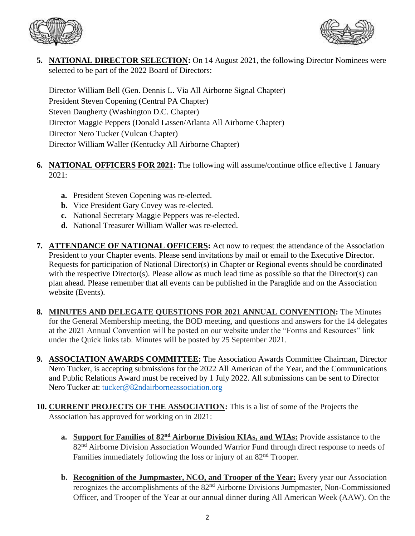



**5. NATIONAL DIRECTOR SELECTION:** On 14 August 2021, the following Director Nominees were selected to be part of the 2022 Board of Directors:

Director William Bell (Gen. Dennis L. Via All Airborne Signal Chapter) President Steven Copening (Central PA Chapter) Steven Daugherty (Washington D.C. Chapter) Director Maggie Peppers (Donald Lassen/Atlanta All Airborne Chapter) Director Nero Tucker (Vulcan Chapter) Director William Waller (Kentucky All Airborne Chapter)

- **6. NATIONAL OFFICERS FOR 2021:** The following will assume/continue office effective 1 January 2021:
	- **a.** President Steven Copening was re-elected.
	- **b.** Vice President Gary Covey was re-elected.
	- **c.** National Secretary Maggie Peppers was re-elected.
	- **d.** National Treasurer William Waller was re-elected.
- **7. ATTENDANCE OF NATIONAL OFFICERS:** Act now to request the attendance of the Association President to your Chapter events. Please send invitations by mail or email to the Executive Director. Requests for participation of National Director(s) in Chapter or Regional events should be coordinated with the respective Director(s). Please allow as much lead time as possible so that the Director(s) can plan ahead. Please remember that all events can be published in the Paraglide and on the Association website (Events).
- **8. MINUTES AND DELEGATE QUESTIONS FOR 2021 ANNUAL CONVENTION:** The Minutes for the General Membership meeting, the BOD meeting, and questions and answers for the 14 delegates at the 2021 Annual Convention will be posted on our website under the "Forms and Resources" link under the Quick links tab. Minutes will be posted by 25 September 2021.
- **9. ASSOCIATION AWARDS COMMITTEE:** The Association Awards Committee Chairman, Director Nero Tucker, is accepting submissions for the 2022 All American of the Year, and the Communications and Public Relations Award must be received by 1 July 2022. All submissions can be sent to Director Nero Tucker at: [tucker@82ndairborneassociation.org](mailto:tucker@82ndairborneassociation.org)
- **10. CURRENT PROJECTS OF THE ASSOCIATION:** This is a list of some of the Projects the Association has approved for working on in 2021:
	- **a. Support for Families of 82nd Airborne Division KIAs, and WIAs:** Provide assistance to the 82<sup>nd</sup> Airborne Division Association Wounded Warrior Fund through direct response to needs of Families immediately following the loss or injury of an  $82<sup>nd</sup>$  Trooper.
	- **b.** Recognition of the Jumpmaster, NCO, and Trooper of the Year: Every year our Association recognizes the accomplishments of the 82<sup>nd</sup> Airborne Divisions Jumpmaster, Non-Commissioned Officer, and Trooper of the Year at our annual dinner during All American Week (AAW). On the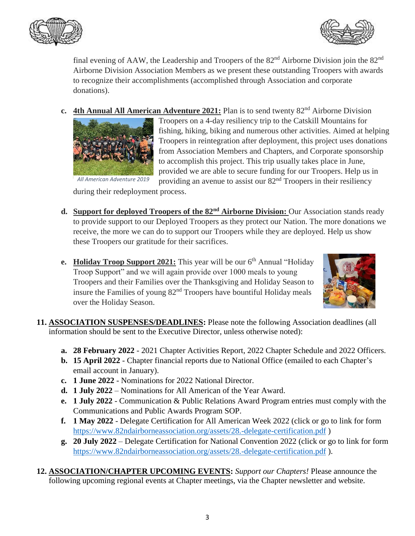



final evening of AAW, the Leadership and Troopers of the  $82<sup>nd</sup>$  Airborne Division join the  $82<sup>nd</sup>$ Airborne Division Association Members as we present these outstanding Troopers with awards to recognize their accomplishments (accomplished through Association and corporate donations).

**c.** 4th Annual All American Adventure 2021: Plan is to send twenty 82<sup>nd</sup> Airborne Division



Troopers on a 4-day resiliency trip to the Catskill Mountains for fishing, hiking, biking and numerous other activities. Aimed at helping Troopers in reintegration after deployment, this project uses donations from Association Members and Chapters, and Corporate sponsorship to accomplish this project. This trip usually takes place in June, provided we are able to secure funding for our Troopers. Help us in providing an avenue to assist our 82nd Troopers in their resiliency

during their redeployment process.

- **d. Support for deployed Troopers of the 82nd Airborne Division:** Our Association stands ready to provide support to our Deployed Troopers as they protect our Nation. The more donations we receive, the more we can do to support our Troopers while they are deployed. Help us show these Troopers our gratitude for their sacrifices.
- **e. Holiday Troop Support 2021:** This year will be our  $6<sup>th</sup>$  Annual "Holiday" Troop Support" and we will again provide over 1000 meals to young Troopers and their Families over the Thanksgiving and Holiday Season to insure the Families of young  $82<sup>nd</sup>$  Troopers have bountiful Holiday meals over the Holiday Season.



- **11. ASSOCIATION SUSPENSES/DEADLINES:** Please note the following Association deadlines (all information should be sent to the Executive Director, unless otherwise noted):
	- **a. 28 February 2022** 2021 Chapter Activities Report, 2022 Chapter Schedule and 2022 Officers.
	- **b. 15 April 2022** Chapter financial reports due to National Office (emailed to each Chapter's email account in January).
	- **c. 1 June 2022** Nominations for 2022 National Director.
	- **d. 1 July 2022** Nominations for All American of the Year Award.
	- **e. 1 July 2022** Communication & Public Relations Award Program entries must comply with the Communications and Public Awards Program SOP.
	- **f. 1 May 2022** Delegate Certification for All American Week 2022 (click or go to link for form <https://www.82ndairborneassociation.org/assets/28.-delegate-certification.pdf> )
	- **g. 20 July 2022** Delegate Certification for National Convention 2022 (click or go to link for form <https://www.82ndairborneassociation.org/assets/28.-delegate-certification.pdf> ).
- **12. ASSOCIATION/CHAPTER UPCOMING EVENTS:** *Support our Chapters!* Please announce the following upcoming regional events at Chapter meetings, via the Chapter newsletter and website.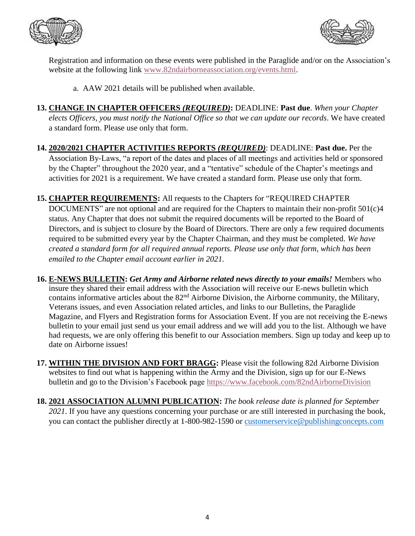



Registration and information on these events were published in the Paraglide and/or on the Association's website at the following link [www.82ndairborneassociation.org/events.html.](http://www.82ndairborneassociation.org/events.html)

a. AAW 2021 details will be published when available.

- **13. CHANGE IN CHAPTER OFFICERS** *(REQUIRED)***:** DEADLINE: **Past due**. *When your Chapter elects Officers, you must notify the National Office so that we can update our records*. We have created a standard form. Please use only that form.
- **14. 2020/2021 CHAPTER ACTIVITIES REPORTS** *(REQUIRED)*: DEADLINE: **Past due.** Per the Association By-Laws, "a report of the dates and places of all meetings and activities held or sponsored by the Chapter" throughout the 2020 year, and a "tentative" schedule of the Chapter's meetings and activities for 2021 is a requirement. We have created a standard form. Please use only that form.
- **15. CHAPTER REQUIREMENTS:** All requests to the Chapters for "REQUIRED CHAPTER DOCUMENTS" are not optional and are required for the Chapters to maintain their non-profit 501(c)4 status. Any Chapter that does not submit the required documents will be reported to the Board of Directors, and is subject to closure by the Board of Directors. There are only a few required documents required to be submitted every year by the Chapter Chairman, and they must be completed. *We have created a standard form for all required annual reports. Please use only that form, which has been emailed to the Chapter email account earlier in 2021.*
- **16. E-NEWS BULLETIN:** *Get Army and Airborne related news directly to your emails!* Members who insure they shared their email address with the Association will receive our E-news bulletin which contains informative articles about the 82nd Airborne Division, the Airborne community, the Military, Veterans issues, and even Association related articles, and links to our Bulletins, the Paraglide Magazine, and Flyers and Registration forms for Association Event. If you are not receiving the E-news bulletin to your email just send us your email address and we will add you to the list. Although we have had requests, we are only offering this benefit to our Association members. Sign up today and keep up to date on Airborne issues!
- **17. WITHIN THE DIVISION AND FORT BRAGG:** Please visit the following 82d Airborne Division websites to find out what is happening within the Army and the Division, sign up for our E-News bulletin and go to the Division's Facebook page<https://www.facebook.com/82ndAirborneDivision>
- **18. 2021 ASSOCIATION ALUMNI PUBLICATION:** *The book release date is planned for September 2021*. If you have any questions concerning your purchase or are still interested in purchasing the book, you can contact the publisher directly at 1-800-982-1590 or [customerservice@publishingconcepts.com](mailto:customerservice@publishingconcepts.com)